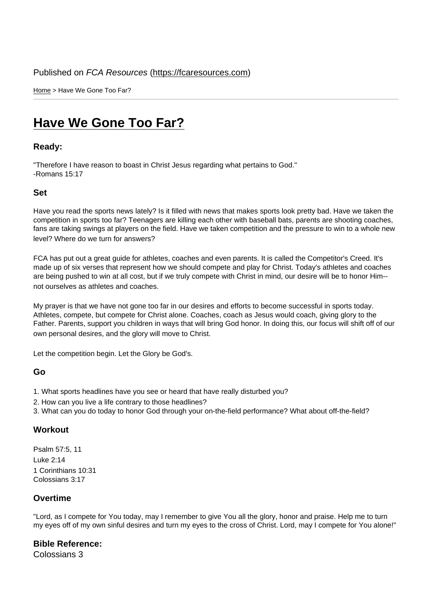Home > Have We Gone Too Far?

# [Hav](https://fcaresources.com/)e We Gone Too Far?

Ready:

["Therefore I have reason to boast in Christ Jesu](https://fcaresources.com/devotional/have-we-gone-too-far)s regarding what pertains to God." -Romans 15:17

Set

Have you read the sports news lately? Is it filled with news that makes sports look pretty bad. Have we taken the competition in sports too far? Teenagers are killing each other with baseball bats, parents are shooting coaches, fans are taking swings at players on the field. Have we taken competition and the pressure to win to a whole new level? Where do we turn for answers?

FCA has put out a great guide for athletes, coaches and even parents. It is called the Competitor's Creed. It's made up of six verses that represent how we should compete and play for Christ. Today's athletes and coaches are being pushed to win at all cost, but if we truly compete with Christ in mind, our desire will be to honor Him- not ourselves as athletes and coaches.

My prayer is that we have not gone too far in our desires and efforts to become successful in sports today. Athletes, compete, but compete for Christ alone. Coaches, coach as Jesus would coach, giving glory to the Father. Parents, support you children in ways that will bring God honor. In doing this, our focus will shift off of our own personal desires, and the glory will move to Christ.

Let the competition begin. Let the Glory be God's.

### Go

- 1. What sports headlines have you see or heard that have really disturbed you?
- 2. How can you live a life contrary to those headlines?
- 3. What can you do today to honor God through your on-the-field performance? What about off-the-field?

#### **Workout**

Psalm 57:5, 11 Luke 2:14 1 Corinthians 10:31 Colossians 3:17

#### **Overtime**

"Lord, as I compete for You today, may I remember to give You all the glory, honor and praise. Help me to turn my eyes off of my own sinful desires and turn my eyes to the cross of Christ. Lord, may I compete for You alone!"

Bible Reference: Colossians 3